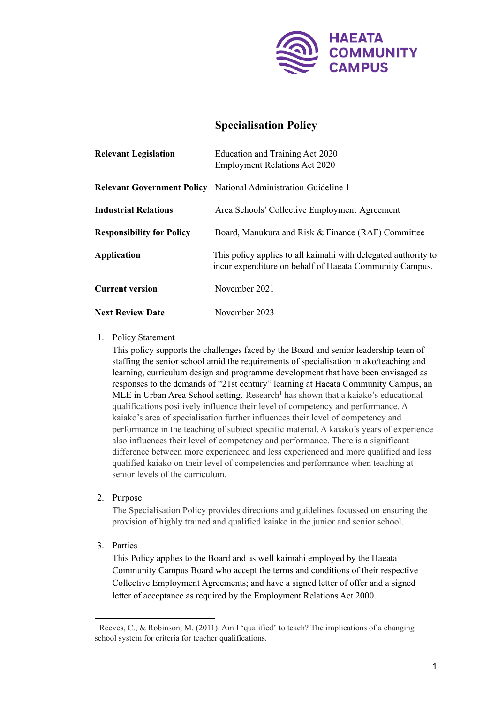

# **Specialisation Policy**

| <b>Relevant Legislation</b>      | Education and Training Act 2020<br><b>Employment Relations Act 2020</b>                                                   |
|----------------------------------|---------------------------------------------------------------------------------------------------------------------------|
|                                  | <b>Relevant Government Policy</b> National Administration Guideline 1                                                     |
| <b>Industrial Relations</b>      | Area Schools' Collective Employment Agreement                                                                             |
| <b>Responsibility for Policy</b> | Board, Manukura and Risk & Finance (RAF) Committee                                                                        |
| <b>Application</b>               | This policy applies to all kaimahi with delegated authority to<br>incur expenditure on behalf of Haeata Community Campus. |
| <b>Current version</b>           | November 2021                                                                                                             |
| <b>Next Review Date</b>          | November 2023                                                                                                             |

# 1. Policy Statement

This policy supports the challenges faced by the Board and senior leadership team of staffing the senior school amid the requirements of specialisation in ako/teaching and learning, curriculum design and programme development that have been envisaged as responses to the demands of "21st century" learning at Haeata Community Campus, an MLE in Urban Area School setting. Research<sup>1</sup> has shown that a kaiako's educational qualifications positively influence their level of competency and performance. A kaiako's area of specialisation further influences their level of competency and performance in the teaching of subject specific material. A kaiako's years of experience also influences their level of competency and performance. There is a significant difference between more experienced and less experienced and more qualified and less qualified kaiako on their level of competencies and performance when teaching at senior levels of the curriculum.

2. Purpose

The Specialisation Policy provides directions and guidelines focussed on ensuring the provision of highly trained and qualified kaiako in the junior and senior school.

3. Parties

This Policy applies to the Board and as well kaimahi employed by the Haeata Community Campus Board who accept the terms and conditions of their respective Collective Employment Agreements; and have a signed letter of offer and a signed letter of acceptance as required by the Employment Relations Act 2000.

<sup>&</sup>lt;sup>1</sup> Reeves, C., & Robinson, M. (2011). Am I 'qualified' to teach? The implications of a changing school system for criteria for teacher qualifications.